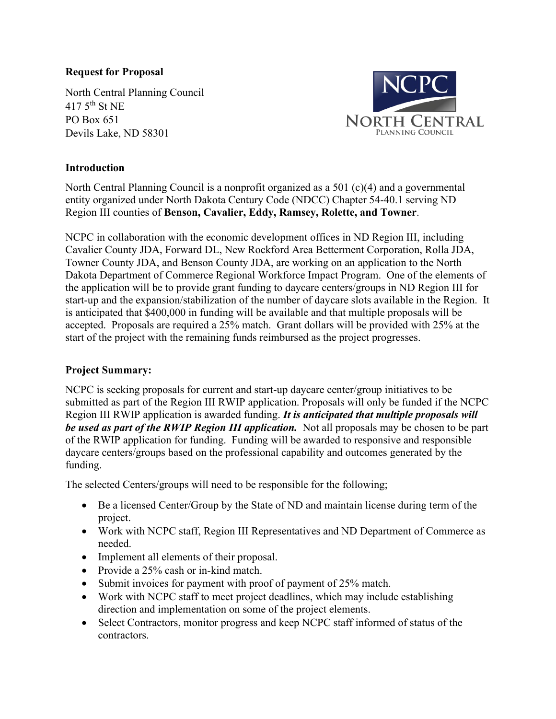## **Request for Proposal**

North Central Planning Council  $417.5$ <sup>th</sup> St NE PO Box 651 Devils Lake, ND 58301



## **Introduction**

North Central Planning Council is a nonprofit organized as a 501 (c)(4) and a governmental entity organized under North Dakota Century Code (NDCC) Chapter 54-40.1 serving ND Region III counties of **Benson, Cavalier, Eddy, Ramsey, Rolette, and Towner**.

NCPC in collaboration with the economic development offices in ND Region III, including Cavalier County JDA, Forward DL, New Rockford Area Betterment Corporation, Rolla JDA, Towner County JDA, and Benson County JDA, are working on an application to the North Dakota Department of Commerce Regional Workforce Impact Program. One of the elements of the application will be to provide grant funding to daycare centers/groups in ND Region III for start-up and the expansion/stabilization of the number of daycare slots available in the Region. It is anticipated that \$400,000 in funding will be available and that multiple proposals will be accepted. Proposals are required a 25% match. Grant dollars will be provided with 25% at the start of the project with the remaining funds reimbursed as the project progresses.

### **Project Summary:**

NCPC is seeking proposals for current and start-up daycare center/group initiatives to be submitted as part of the Region III RWIP application. Proposals will only be funded if the NCPC Region III RWIP application is awarded funding. *It is anticipated that multiple proposals will be used as part of the RWIP Region III application.* Not all proposals may be chosen to be part of the RWIP application for funding. Funding will be awarded to responsive and responsible daycare centers/groups based on the professional capability and outcomes generated by the funding.

The selected Centers/groups will need to be responsible for the following;

- Be a licensed Center/Group by the State of ND and maintain license during term of the project.
- Work with NCPC staff, Region III Representatives and ND Department of Commerce as needed.
- Implement all elements of their proposal.
- Provide a 25% cash or in-kind match.
- Submit invoices for payment with proof of payment of 25% match.
- Work with NCPC staff to meet project deadlines, which may include establishing direction and implementation on some of the project elements.
- Select Contractors, monitor progress and keep NCPC staff informed of status of the contractors.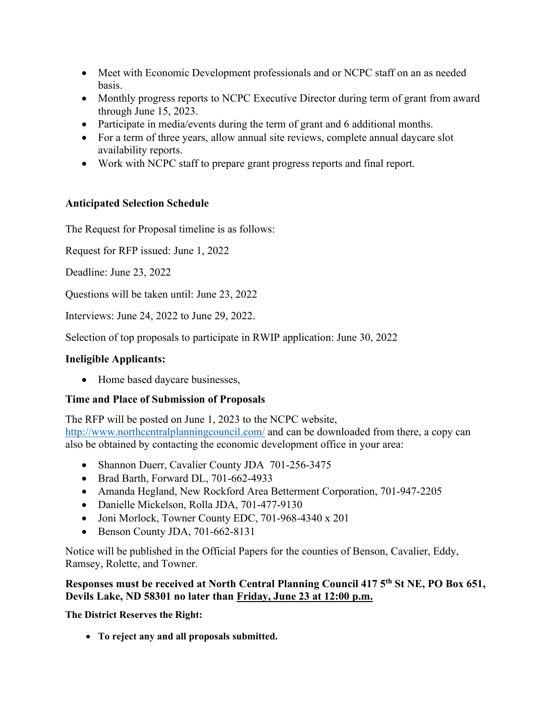- Meet with Economic Development professionals and or NCPC staff on an as needed basis.
- Monthly progress reports to NCPC Executive Director during term of grant from award through June 15, 2023.
- Participate in media/events during the term of grant and 6 additional months.
- For a term of three years, allow annual site reviews, complete annual daycare slot availability reports.
- Work with NCPC staff to prepare grant progress reports and final report.

# **Anticipated Selection Schedule**

The Request for Proposal timeline is as follows:

Request for RFP issued: June 1, 2022

Deadline: June 23, 2022

Questions will be taken until: June 23, 2022

Interviews: June 24, 2022 to June 29, 2022.

Selection of top proposals to participate in RWIP application: June 30, 2022

## **Ineligible Applicants:**

• Home based daycare businesses,

# **Time and Place of Submission of Proposals**

The RFP will be posted on June 1, 2023 to the NCPC website, <http://www.northcentralplanningcouncil.com/>and can be downloaded from there, a copy can also be obtained by contacting the economic development office in your area:

- Shannon Duerr, Cavalier County JDA 701-256-3475
- Brad Barth, Forward DL, 701-662-4933
- Amanda Hegland, New Rockford Area Betterment Corporation, 701-947-2205
- Danielle Mickelson, Rolla JDA, 701-477-9130
- Joni Morlock, Towner County EDC, 701-968-4340 x 201
- Benson County JDA, 701-662-8131

Notice will be published in the Official Papers for the counties of Benson, Cavalier, Eddy, Ramsey, Rolette, and Towner.

### **Responses must be received at North Central Planning Council 417 5th St NE, PO Box 651, Devils Lake, ND 58301 no later than Friday, June 23 at 12:00 p.m.**

**The District Reserves the Right:**

• **To reject any and all proposals submitted.**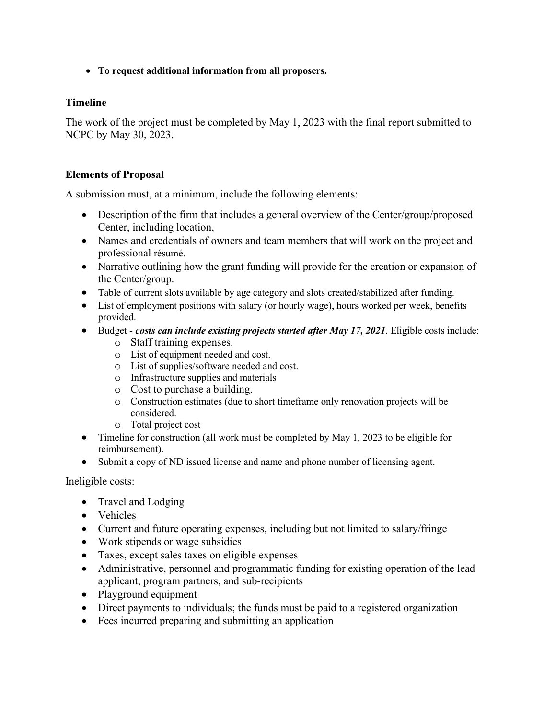• **To request additional information from all proposers.**

### **Timeline**

The work of the project must be completed by May 1, 2023 with the final report submitted to NCPC by May 30, 2023.

### **Elements of Proposal**

A submission must, at a minimum, include the following elements:

- Description of the firm that includes a general overview of the Center/group/proposed Center, including location,
- Names and credentials of owners and team members that will work on the project and professional résumé.
- Narrative outlining how the grant funding will provide for the creation or expansion of the Center/group.
- Table of current slots available by age category and slots created/stabilized after funding.
- List of employment positions with salary (or hourly wage), hours worked per week, benefits provided.
- Budget  *costs can include existing projects started after May 17, 2021*. Eligible costs include:
	- o Staff training expenses.
	- o List of equipment needed and cost.
	- o List of supplies/software needed and cost.
	- o Infrastructure supplies and materials
	- o Cost to purchase a building.
	- o Construction estimates (due to short timeframe only renovation projects will be considered.
	- o Total project cost
- Timeline for construction (all work must be completed by May 1, 2023 to be eligible for reimbursement).
- Submit a copy of ND issued license and name and phone number of licensing agent.

Ineligible costs:

- Travel and Lodging
- Vehicles
- Current and future operating expenses, including but not limited to salary/fringe
- Work stipends or wage subsidies
- Taxes, except sales taxes on eligible expenses
- Administrative, personnel and programmatic funding for existing operation of the lead applicant, program partners, and sub-recipients
- Playground equipment
- Direct payments to individuals; the funds must be paid to a registered organization
- Fees incurred preparing and submitting an application